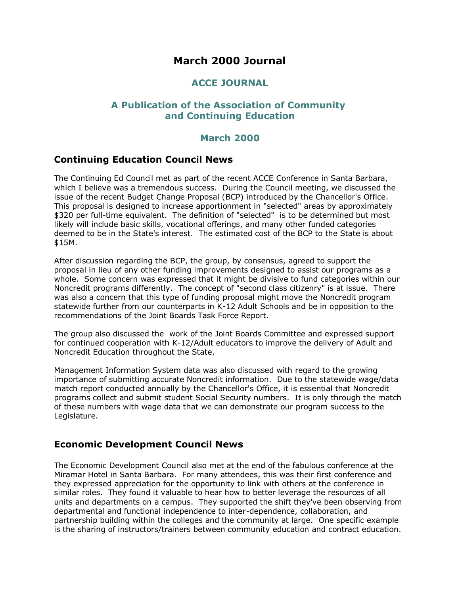# **March 2000 Journal**

# **ACCE JOURNAL**

# **A Publication of the Association of Community and Continuing Education**

# **March 2000**

# **Continuing Education Council News**

The Continuing Ed Council met as part of the recent ACCE Conference in Santa Barbara, which I believe was a tremendous success. During the Council meeting, we discussed the issue of the recent Budget Change Proposal (BCP) introduced by the Chancellor's Office. This proposal is designed to increase apportionment in "selected" areas by approximately \$320 per full-time equivalent. The definition of "selected" is to be determined but most likely will include basic skills, vocational offerings, and many other funded categories deemed to be in the State's interest. The estimated cost of the BCP to the State is about \$15M.

After discussion regarding the BCP, the group, by consensus, agreed to support the proposal in lieu of any other funding improvements designed to assist our programs as a whole. Some concern was expressed that it might be divisive to fund categories within our Noncredit programs differently. The concept of "second class citizenry" is at issue. There was also a concern that this type of funding proposal might move the Noncredit program statewide further from our counterparts in K-12 Adult Schools and be in opposition to the recommendations of the Joint Boards Task Force Report.

The group also discussed the work of the Joint Boards Committee and expressed support for continued cooperation with K-12/Adult educators to improve the delivery of Adult and Noncredit Education throughout the State.

Management Information System data was also discussed with regard to the growing importance of submitting accurate Noncredit information. Due to the statewide wage/data match report conducted annually by the Chancellor's Office, it is essential that Noncredit programs collect and submit student Social Security numbers. It is only through the match of these numbers with wage data that we can demonstrate our program success to the Legislature.

# **Economic Development Council News**

The Economic Development Council also met at the end of the fabulous conference at the Miramar Hotel in Santa Barbara. For many attendees, this was their first conference and they expressed appreciation for the opportunity to link with others at the conference in similar roles. They found it valuable to hear how to better leverage the resources of all units and departments on a campus. They supported the shift they've been observing from departmental and functional independence to inter-dependence, collaboration, and partnership building within the colleges and the community at large. One specific example is the sharing of instructors/trainers between community education and contract education.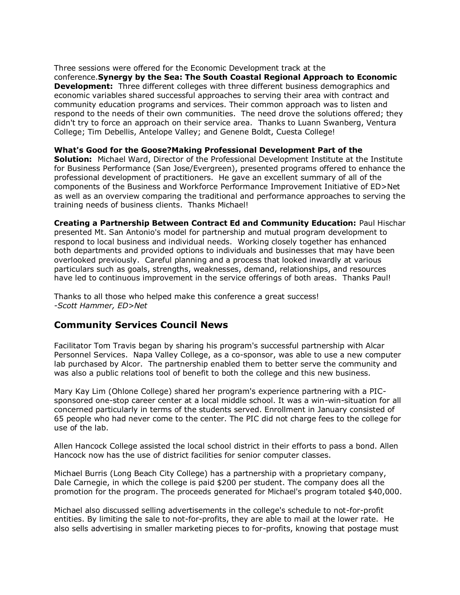Three sessions were offered for the Economic Development track at the conference.**Synergy by the Sea: The South Coastal Regional Approach to Economic Development:** Three different colleges with three different business demographics and economic variables shared successful approaches to serving their area with contract and community education programs and services. Their common approach was to listen and respond to the needs of their own communities. The need drove the solutions offered; they didn't try to force an approach on their service area. Thanks to Luann Swanberg, Ventura College; Tim Debellis, Antelope Valley; and Genene Boldt, Cuesta College!

#### **What's Good for the Goose?Making Professional Development Part of the**

**Solution:** Michael Ward, Director of the Professional Development Institute at the Institute for Business Performance (San Jose/Evergreen), presented programs offered to enhance the professional development of practitioners. He gave an excellent summary of all of the components of the Business and Workforce Performance Improvement Initiative of ED>Net as well as an overview comparing the traditional and performance approaches to serving the training needs of business clients. Thanks Michael!

**Creating a Partnership Between Contract Ed and Community Education:** Paul Hischar presented Mt. San Antonio's model for partnership and mutual program development to respond to local business and individual needs. Working closely together has enhanced both departments and provided options to individuals and businesses that may have been overlooked previously. Careful planning and a process that looked inwardly at various particulars such as goals, strengths, weaknesses, demand, relationships, and resources have led to continuous improvement in the service offerings of both areas. Thanks Paul!

Thanks to all those who helped make this conference a great success! *-Scott Hammer, ED>Net*

# **Community Services Council News**

Facilitator Tom Travis began by sharing his program's successful partnership with Alcar Personnel Services. Napa Valley College, as a co-sponsor, was able to use a new computer lab purchased by Alcor. The partnership enabled them to better serve the community and was also a public relations tool of benefit to both the college and this new business.

Mary Kay Lim (Ohlone College) shared her program's experience partnering with a PICsponsored one-stop career center at a local middle school. It was a win-win-situation for all concerned particularly in terms of the students served. Enrollment in January consisted of 65 people who had never come to the center. The PIC did not charge fees to the college for use of the lab.

Allen Hancock College assisted the local school district in their efforts to pass a bond. Allen Hancock now has the use of district facilities for senior computer classes.

Michael Burris (Long Beach City College) has a partnership with a proprietary company, Dale Carnegie, in which the college is paid \$200 per student. The company does all the promotion for the program. The proceeds generated for Michael's program totaled \$40,000.

Michael also discussed selling advertisements in the college's schedule to not-for-profit entities. By limiting the sale to not-for-profits, they are able to mail at the lower rate. He also sells advertising in smaller marketing pieces to for-profits, knowing that postage must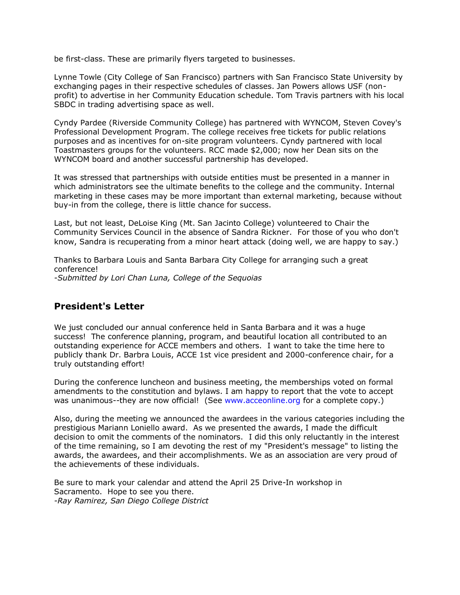be first-class. These are primarily flyers targeted to businesses.

Lynne Towle (City College of San Francisco) partners with San Francisco State University by exchanging pages in their respective schedules of classes. Jan Powers allows USF (nonprofit) to advertise in her Community Education schedule. Tom Travis partners with his local SBDC in trading advertising space as well.

Cyndy Pardee (Riverside Community College) has partnered with WYNCOM, Steven Covey's Professional Development Program. The college receives free tickets for public relations purposes and as incentives for on-site program volunteers. Cyndy partnered with local Toastmasters groups for the volunteers. RCC made \$2,000; now her Dean sits on the WYNCOM board and another successful partnership has developed.

It was stressed that partnerships with outside entities must be presented in a manner in which administrators see the ultimate benefits to the college and the community. Internal marketing in these cases may be more important than external marketing, because without buy-in from the college, there is little chance for success.

Last, but not least, DeLoise King (Mt. San Jacinto College) volunteered to Chair the Community Services Council in the absence of Sandra Rickner. For those of you who don't know, Sandra is recuperating from a minor heart attack (doing well, we are happy to say.)

Thanks to Barbara Louis and Santa Barbara City College for arranging such a great conference! *-Submitted by Lori Chan Luna, College of the Sequoias*

# **President's Letter**

We just concluded our annual conference held in Santa Barbara and it was a huge success! The conference planning, program, and beautiful location all contributed to an outstanding experience for ACCE members and others. I want to take the time here to publicly thank Dr. Barbra Louis, ACCE 1st vice president and 2000-conference chair, for a truly outstanding effort!

During the conference luncheon and business meeting, the memberships voted on formal amendments to the constitution and bylaws. I am happy to report that the vote to accept was unanimous--they are now official! (See [www.acceonline.org](http://www.acceonline.org/) for a complete copy.)

Also, during the meeting we announced the awardees in the various categories including the prestigious Mariann Loniello award. As we presented the awards, I made the difficult decision to omit the comments of the nominators. I did this only reluctantly in the interest of the time remaining, so I am devoting the rest of my "President's message" to listing the awards, the awardees, and their accomplishments. We as an association are very proud of the achievements of these individuals.

Be sure to mark your calendar and attend the April 25 Drive-In workshop in Sacramento. Hope to see you there. *-Ray Ramirez, San Diego College District*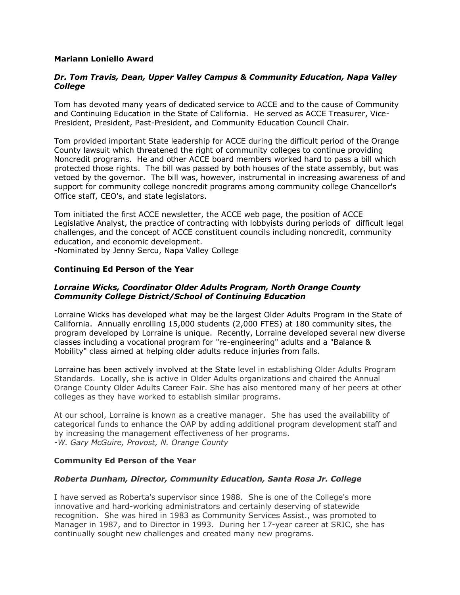### **Mariann Loniello Award**

### *Dr. Tom Travis, Dean, Upper Valley Campus & Community Education, Napa Valley College*

Tom has devoted many years of dedicated service to ACCE and to the cause of Community and Continuing Education in the State of California. He served as ACCE Treasurer, Vice-President, President, Past-President, and Community Education Council Chair.

Tom provided important State leadership for ACCE during the difficult period of the Orange County lawsuit which threatened the right of community colleges to continue providing Noncredit programs. He and other ACCE board members worked hard to pass a bill which protected those rights. The bill was passed by both houses of the state assembly, but was vetoed by the governor. The bill was, however, instrumental in increasing awareness of and support for community college noncredit programs among community college Chancellor's Office staff, CEO's, and state legislators.

Tom initiated the first ACCE newsletter, the ACCE web page, the position of ACCE Legislative Analyst, the practice of contracting with lobbyists during periods of difficult legal challenges, and the concept of ACCE constituent councils including noncredit, community education, and economic development.

-Nominated by Jenny Sercu, Napa Valley College

### **Continuing Ed Person of the Year**

### *Lorraine Wicks, Coordinator Older Adults Program, North Orange County Community College District/School of Continuing Education*

Lorraine Wicks has developed what may be the largest Older Adults Program in the State of California. Annually enrolling 15,000 students (2,000 FTES) at 180 community sites, the program developed by Lorraine is unique. Recently, Lorraine developed several new diverse classes including a vocational program for "re-engineering" adults and a "Balance & Mobility" class aimed at helping older adults reduce injuries from falls.

Lorraine has been actively involved at the State level in establishing Older Adults Program Standards. Locally, she is active in Older Adults organizations and chaired the Annual Orange County Older Adults Career Fair. She has also mentored many of her peers at other colleges as they have worked to establish similar programs.

At our school, Lorraine is known as a creative manager. She has used the availability of categorical funds to enhance the OAP by adding additional program development staff and by increasing the management effectiveness of her programs. *-W. Gary McGuire, Provost, N. Orange County*

### **Community Ed Person of the Year**

### *Roberta Dunham, Director, Community Education, Santa Rosa Jr. College*

I have served as Roberta's supervisor since 1988. She is one of the College's more innovative and hard-working administrators and certainly deserving of statewide recognition. She was hired in 1983 as Community Services Assist., was promoted to Manager in 1987, and to Director in 1993. During her 17-year career at SRJC, she has continually sought new challenges and created many new programs.